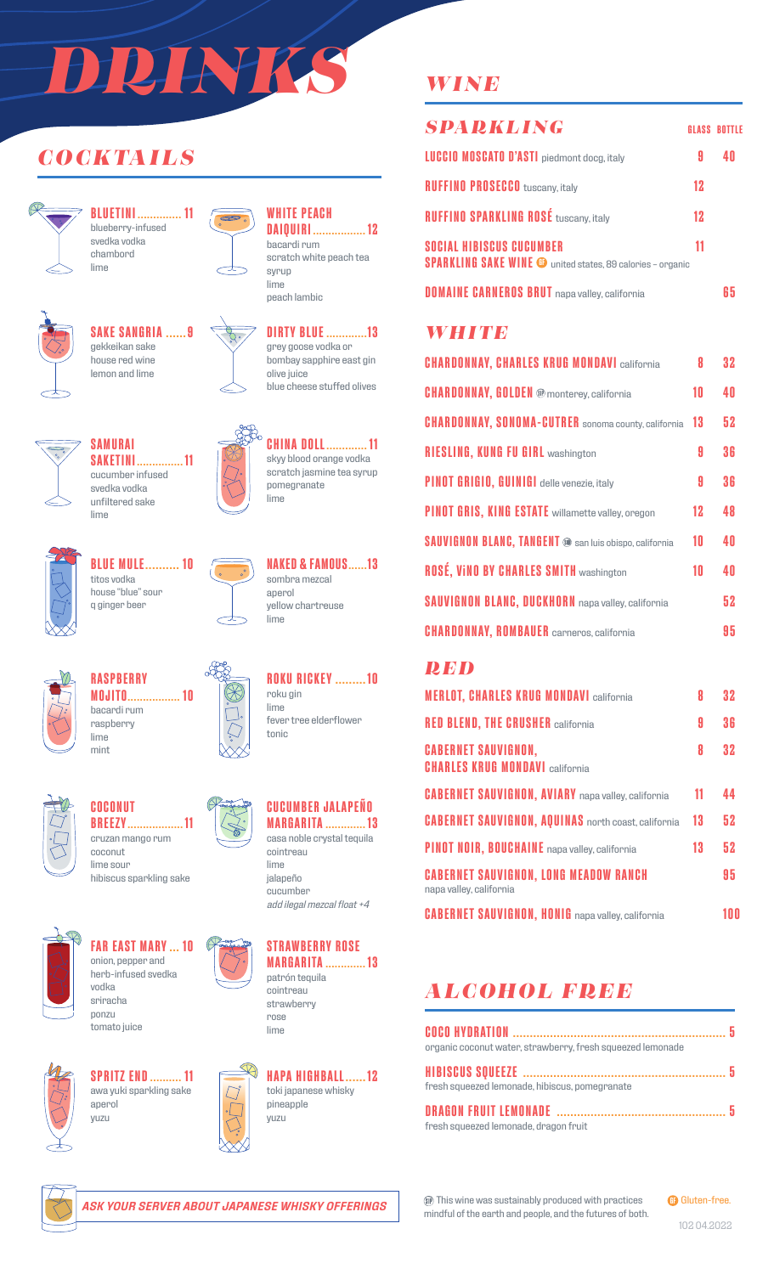# *DRINKS*

 $\infty$ 

## *COCKTAILS*



**BLUETINI .............. 11** blueberry-infused svedka vodka chambord lime



## **SAKE SANGRIA ......9** gekkeikan sake



house red wine lemon and lime





**WHITE PEACH**

**DAIQUIRI ................. 12**



grey goose vodka or bombay sapphire east gin olive juice blue cheese stuffed olives



**CHINA DOLL............. 11** skyy blood orange vodka scratch jasmine tea syrup pomegranate lime



**BLUE MULE.......... 10** titos vodka house "blue" sour q ginger beer

**SAMURAI**

svedka vodka

lime



**NAKED & FAMOUS......13** sombra mezcal aperol yellow chartreuse lime

**ROKU RICKEY .........10**

fever tree elderflower

roku gin lime

tonic



lime

#### **RASPBERRY MOJITO................. 10** bacardi rum raspberry mint



**COCONUT BREEZY.................. 11** cruzan mango rum coconut lime sour



hibiscus sparkling sake **FAR EAST MARY ... 10**



herb-infused svedka vodka sriracha ponzu tomato juice



**SPRITZ END.......... 11** awa yuki sparkling sake aperol yuzu





cointreau lime jalapeño cucumber *add ilegal mezcal float +4*



**MARGARITA ............. 13** cointreau strawberry rose lime



## *WINE*

| <b>SPARKLING</b>                                                                                     |    | <b>GLASS BOTTLE</b> |
|------------------------------------------------------------------------------------------------------|----|---------------------|
| <b>LUCCIO MOSCATO D'ASTI</b> piedmont docg, italy                                                    |    |                     |
| <b>RUFFINO PROSECCO</b> tuscany, italy                                                               | 12 |                     |
| <b>RUFFINO SPARKLING ROSÉ tuscany, italy</b>                                                         | 12 |                     |
| <b>SOCIAL HIBISCUS CUCUMBER</b><br><b>SPARKLING SAKE WINE @</b> united states, 89 calories - organic | 11 |                     |
| <b>DOMAINE CARNEROS BRUT</b> napa valley, california                                                 |    |                     |

## *WHITE*

| <b>CHARDONNAY, CHARLES KRUG MONDAVI california</b>            | 8  | 32  |
|---------------------------------------------------------------|----|-----|
| <b>CHARDONNAY, GOLDEN @</b> monterey, california              | 10 | 4 N |
| <b>CHARDONNAY, SONOMA-CUTRER</b> sonoma county, california    | 13 | 52  |
| <b>RIESLING, KUNG FU GIRL washington</b>                      | A  | 36  |
| PINOT GRIGIO, GUINIGI delle venezie, italy                    | A  | 36  |
| PINOT GRIS, KING ESTATE willamette valley, oregon             | 12 | 48  |
| <b>SAUVIGNON BLANC, TANGENT @ san luis obispo, california</b> | 10 | 40  |
| <b>ROSÉ, VINO BY CHARLES SMITH washington</b>                 | 10 | 4 N |
| <b>SAUVIGNON BLANC, DUCKHORN</b> napa valley, california      |    | 52  |
| <b>CHARDONNAY, ROMBAUER</b> carneros, california              |    | 95  |

### *RED*

| <b>MERLOT, CHARLES KRUG MONDAVI california</b>                          | 8  | 32  |
|-------------------------------------------------------------------------|----|-----|
| <b>RED BLEND, THE CRUSHER california</b>                                | 9  | 36  |
| <b>CABERNET SAUVIGNON.</b><br><b>CHARLES KRUG MONDAVI california</b>    | 8  | 32  |
| <b>CABERNET SAUVIGNON, AVIARY</b> napa valley, california               | 11 | 44  |
| <b>CABERNET SAUVIGNON, AQUINAS</b> north coast, california              | 13 | 52  |
| PINOT NOIR, BOUCHAINE napa valley, california                           | 13 | 52  |
| <b>CABERNET SAUVIGNON, LONG MEADOW RANCH</b><br>napa valley, california |    | 95  |
| <b>CABERNET SAUVIGNON, HONIG</b> napa valley, california                |    | 100 |

## *ALCOHOL FREE*

| organic coconut water, strawberry, fresh squeezed lemonade |  |
|------------------------------------------------------------|--|
|                                                            |  |
| fresh squeezed lemonade, hibiscus, pomegranate             |  |
|                                                            |  |
| fresh squeezed lemonade, dragon fruit                      |  |



*ASK YOUR SERVER ABOUT JAPANESE WHISKY OFFERINGS*

This wine was sustainably produced with practices mindful of the earth and people, and the futures of both. **GB** Gluten-free.